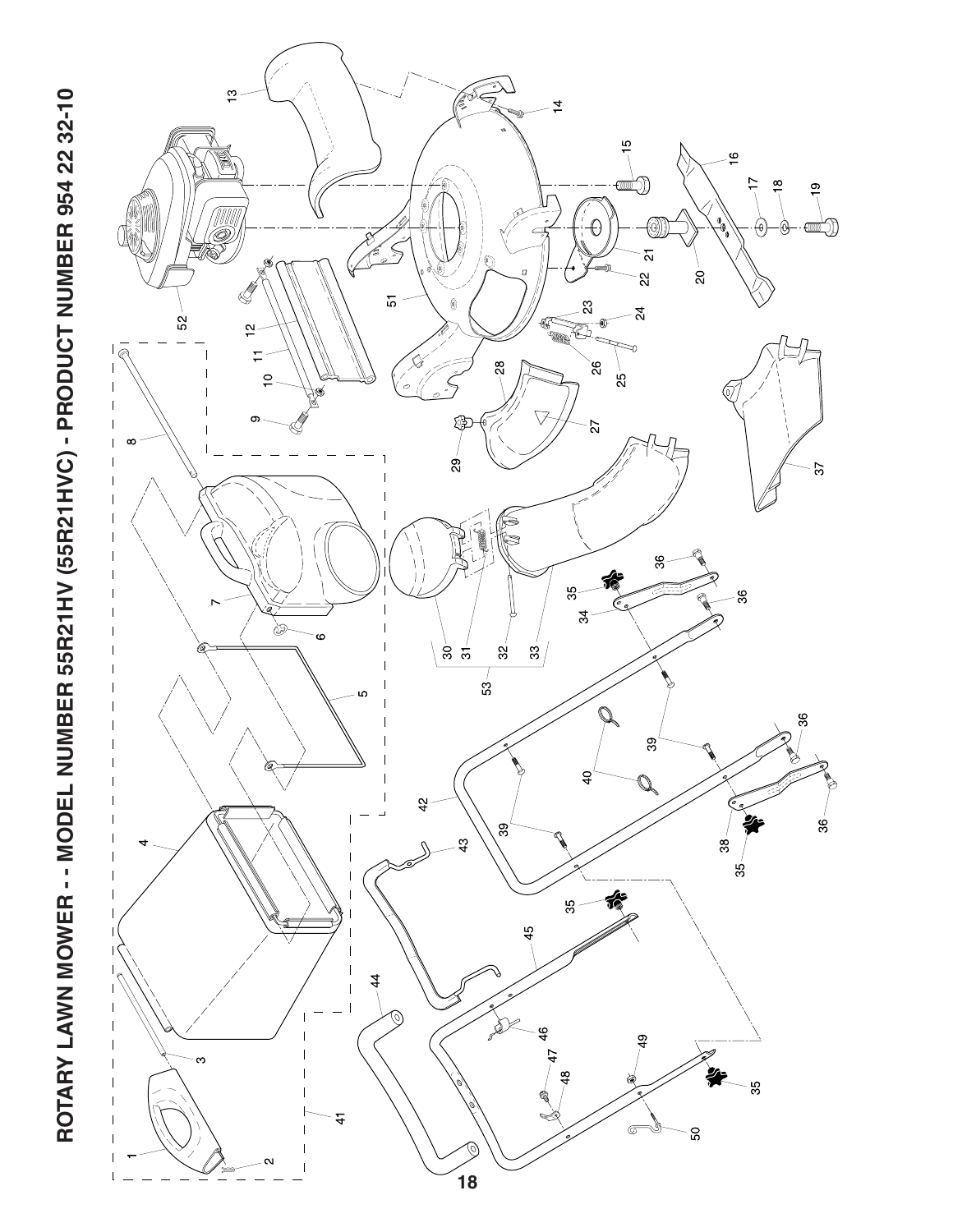

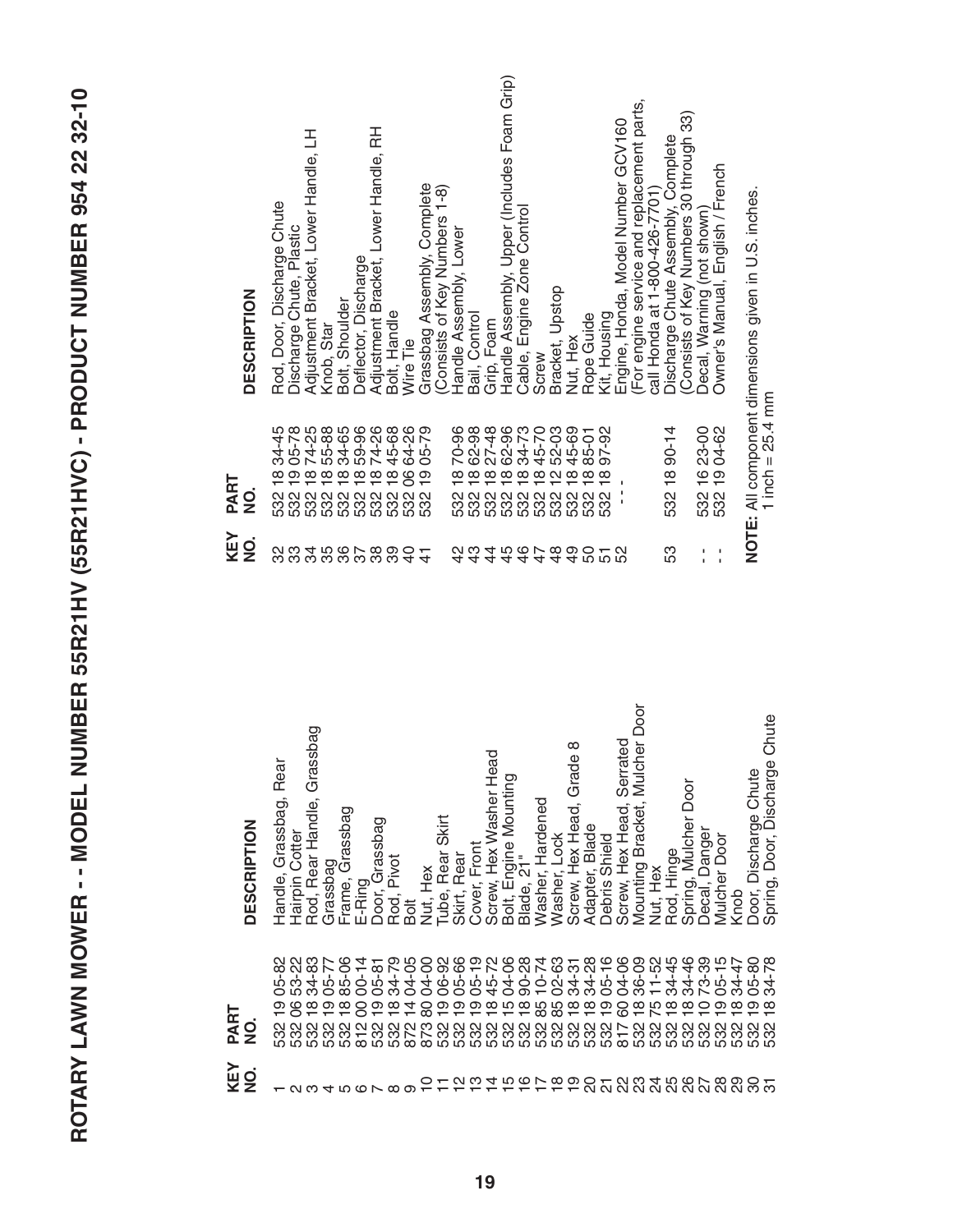| į<br>I                        |
|-------------------------------|
|                               |
|                               |
|                               |
| <b>TACCELO CLC</b><br>ŗ       |
|                               |
|                               |
| j                             |
|                               |
|                               |
|                               |
| ī                             |
| ֧֓֓֓֓֓֓֓֓֓֓֓֓֓֓֓֓֓֓֓֓׆֬֝֬֓    |
|                               |
| l                             |
|                               |
| ĺ                             |
|                               |
| İ                             |
|                               |
|                               |
|                               |
| l                             |
| i<br>İ                        |
| ſ                             |
| ו<br>ו                        |
|                               |
|                               |
| I                             |
| Ú<br>l<br>I                   |
| $\overline{\phantom{0}}$<br>¢ |
| ij<br>Ľ                       |
| I<br>Π                        |
| ĭ<br>ſ                        |
| l                             |
|                               |
| (                             |
|                               |
| "有些问题,                        |
| I                             |
|                               |
|                               |
| ς                             |
|                               |

| <b>DESCRIPTION</b>             | Rear<br>Grassbag,<br>Handle, | Hairpin Cotter                         | Grassbag<br>Rod, Rear Handle,                                  | Grassbag       |                             | Grassbag<br>Frame, | E-Ring                             | Grassbag<br>Door,                     | Pivot<br>Rod,               | Bolt                           | Nut, Hex          | Skirt<br>Rear<br>Tube,   | Rear<br>Skirt, | Front<br>Cover, | Hex Washer Head<br>Screw, | Bolt, Engine Mounting   | $\frac{1}{2}$<br>Blade,          | Hardened<br>Washer, | Lock<br>Washer | $^{\circ}$<br>Grade<br>Hex Head,<br>Screw,       | Blade<br>Adapter, | Shield<br>Debris | Serrated<br>Hex Head,<br>Screw,                                                                              | Door<br>Mulcher<br>Bracket,<br>Mounting | Hex<br>Nut,                            | Hinge<br>Rod, | Door<br>Mulcher<br>Spring, | Danger<br>Decal, | Door<br>Mulcher    | Knob         | Discharge Chute<br>Door, | Chute<br><b>Discharge</b><br>Door,<br>Spring, |  |
|--------------------------------|------------------------------|----------------------------------------|----------------------------------------------------------------|----------------|-----------------------------|--------------------|------------------------------------|---------------------------------------|-----------------------------|--------------------------------|-------------------|--------------------------|----------------|-----------------|---------------------------|-------------------------|----------------------------------|---------------------|----------------|--------------------------------------------------|-------------------|------------------|--------------------------------------------------------------------------------------------------------------|-----------------------------------------|----------------------------------------|---------------|----------------------------|------------------|--------------------|--------------|--------------------------|-----------------------------------------------|--|
| PART<br>$\mathbf{\frac{O}{Z}}$ | ပိ<br>ာ<br>532               | $\mathbf{\Omega}$<br>$\sim$<br>S3<br>8 | ო<br>်စို<br>र्षे<br>$\frac{\infty}{\infty}$<br>និង<br>និង និង | -77<br>8       | <b>90-</b><br>$\frac{5}{6}$ | 85                 | $\frac{4}{1}$<br>8<br>$\circ$<br>Ō | $\frac{8}{1}$<br>Š<br>ၜ<br>888<br>888 | 34-79<br>$\frac{\infty}{1}$ | 04-05<br>$\overline{4}$<br>872 | 04-00<br>8<br>873 | 06-92<br>စ္              | 05-66<br>င္    | $05 - 19$       | 45-72<br>$\frac{50}{10}$  | 04-06<br>$\frac{15}{1}$ | 90-28<br>$\frac{\infty}{\infty}$ | $10 - 74$<br>85     | 02-63<br>85    | $\overline{\phantom{0}}$<br>$34 - 3$<br>$\infty$ | 34-28<br>$\infty$ | $05 - 16$<br>တ   | 04-06<br>0<br>Õ<br>ល្គល្គល្គល្គល្គល្គល្គល្គក្រសួលល្អល្គល្អ<br>ហ្គូល្គល្គល្គល្គល្គល្គល្គស្គល្គល្គល្គល្អល្គល្អ | 36-09<br>$\infty$                       | -52<br>$\overline{\phantom{0}}$<br>LO. | 34-45<br>∞    | 34-46<br>$\infty$          | $73 - 39$<br>0   | ယ<br>$05-1$<br>တ ထ | 34-47<br>532 | $05 - 80$<br>တ ထ<br>532  | $\infty$<br>$\sim$<br>×,<br>र्ऋ               |  |
| KEY<br>$\frac{1}{2}$           |                              | $\sim$                                 | ო                                                              | $\overline{4}$ |                             | LO                 | $\circ$                            | $\sim$                                | $\infty$                    | െ                              |                   | $\overline{\phantom{0}}$ | 으              | $\frac{1}{2}$   | $\overline{4}$            | $\frac{5}{1}$           |                                  | 979                 |                | $\frac{6}{1}$                                    |                   |                  | <u>នសង្គូនងូនសូននិង</u>                                                                                      |                                         |                                        |               |                            |                  |                    |              |                          |                                               |  |

| <b>DESCRIPTION</b>    | 舌<br>Adjustment Bracket, Lower Handle,<br>Rod, Door, Discharge Chute<br>Discharge Chute, Plastic    | Bolt, Shoulder<br>Knob, Star                 | Deflector, Discharge | 군<br>Adjustment Bracket, Lower Handle,<br>Bolt, Handle | jθ<br>.<br>Nire | Grassbag Assembly, Complete | $1-8$<br>Consists of Key Numbers | Handle Assembly, Lower      | Bail, Control | Grip, Foam     | Handle Assembly, Upper (Includes Foam Grip)                                                          | Engine Zone Control<br>Cable, I | Screw | Bracket, Upstop | Nut, Hex | Rope Guide | Kit, Housing | Engine, Honda, Model Number GCV160 | (For engine service and replacement parts,<br>call Honda at 1-800-426-7701) | Discharge Chute Assembly, Complete | Consists of Key Numbers 30 through 33) | Decal, Warning (not shown)   | Owner's Manual, English / French | NOTE: All component dimensions given in U.S. inches. |                    |
|-----------------------|-----------------------------------------------------------------------------------------------------|----------------------------------------------|----------------------|--------------------------------------------------------|-----------------|-----------------------------|----------------------------------|-----------------------------|---------------|----------------|------------------------------------------------------------------------------------------------------|---------------------------------|-------|-----------------|----------|------------|--------------|------------------------------------|-----------------------------------------------------------------------------|------------------------------------|----------------------------------------|------------------------------|----------------------------------|------------------------------------------------------|--------------------|
| PART<br>$\frac{1}{2}$ | 34-45<br>$\frac{\infty}{1}$<br>ល្គល្គល្គល្គល្គល្គល្គល្អ<br>នានានានានានានានានា<br>លេចលេចល្គល្គល្គល្អ | 076996<br>646499<br>64649<br>$\overbrace{0}$ |                      | 74-26<br>45-68                                         | 64-26<br>8      | 05-79<br>$\frac{9}{5}$      |                                  | 70-96<br>$\frac{\infty}{1}$ | $\infty$      |                | 8848670<br>8496770<br>844578<br>ល្គល្គល្គល្គល្គល្គល្គល្អ<br>នានានានានានានានានា<br>លេចលេចល្គល្គល្គល្អ |                                 |       | 52-03           | 45-69    | 85-01      | 97-92        | ï                                  |                                                                             | 532 18 90-14                       |                                        | 532 16 23-00<br>532 19 04-62 |                                  |                                                      | 1 inch = $25.4$ mm |
| KEY<br>$\frac{1}{2}$  | လ္က                                                                                                 | 888868884                                    |                      |                                                        |                 | $\frac{4}{5}$               |                                  | 42                          | $\frac{3}{4}$ | $\overline{4}$ | $4444$<br>4444                                                                                       |                                 |       |                 |          |            | 9052<br>9052 |                                    |                                                                             | 53                                 |                                        | ı<br>ï                       | ı                                |                                                      |                    |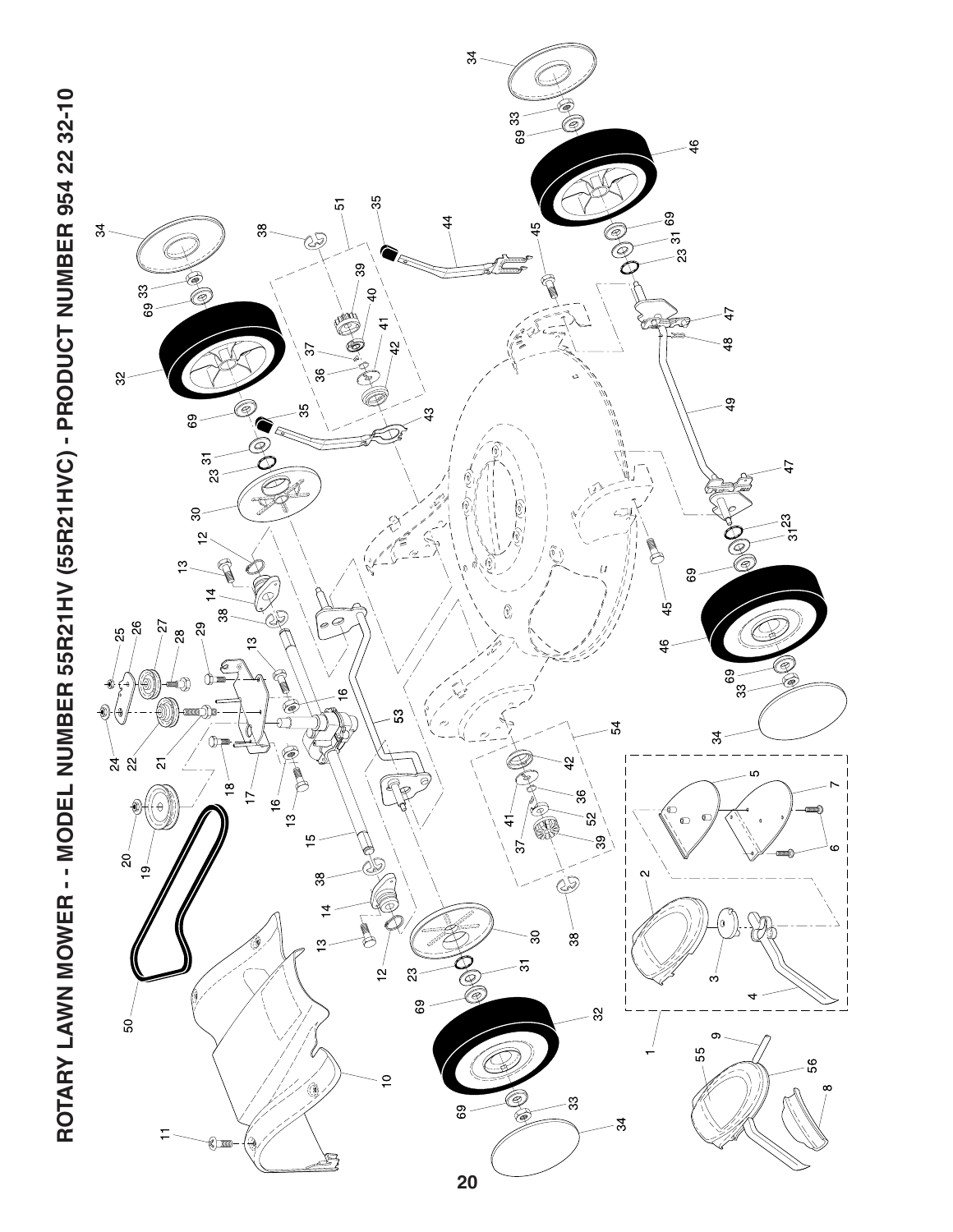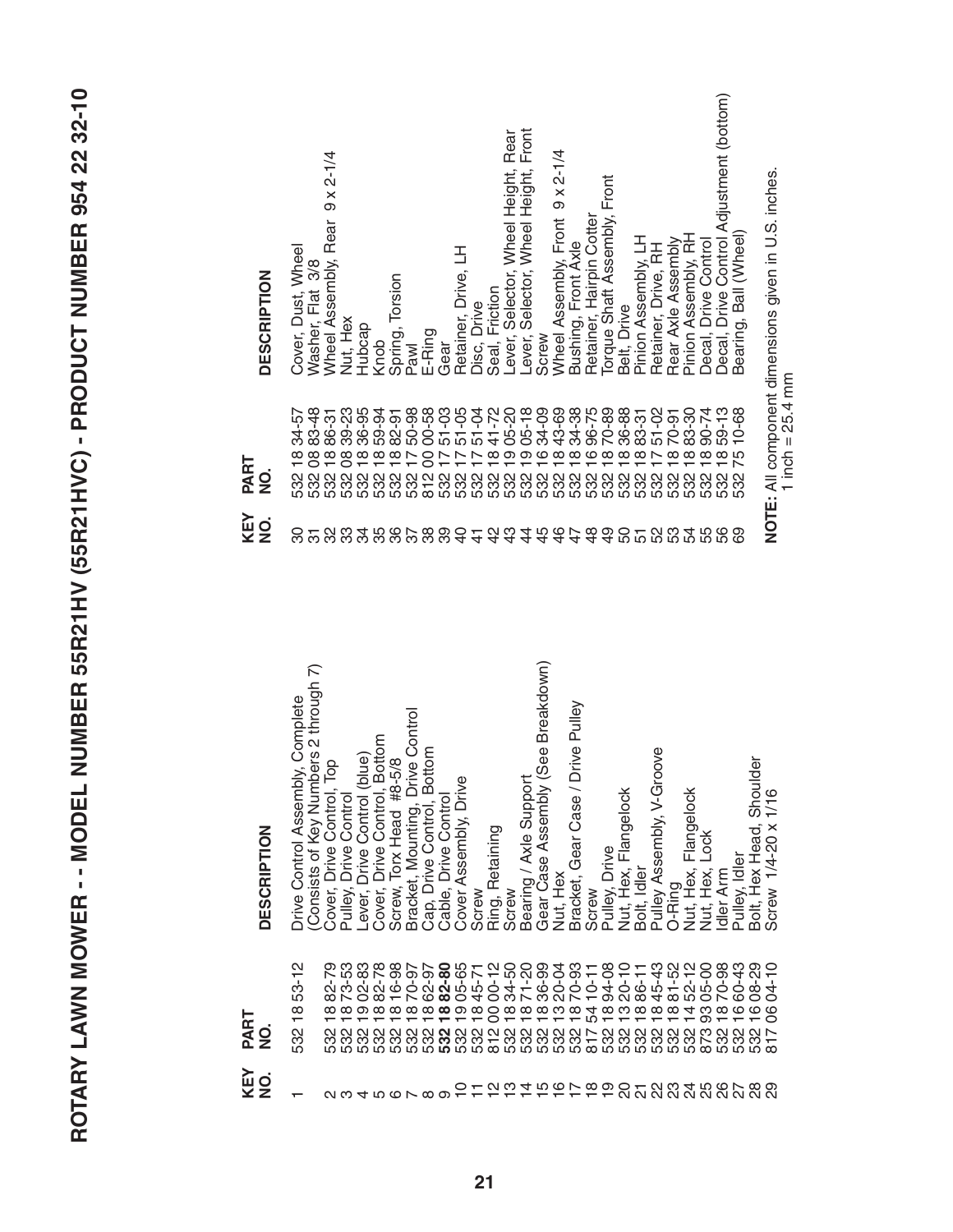| ֧֧ׅ֧֧ׅ֧֚֚֚֚֚֚֚֚֚֚֚֚֚֚֚֚֚֚֚֚֚֚֚֚֚֬֡֓֜֓֡֟֓֡֓֝֬֜֓<br>I                                                                          |
|------------------------------------------------------------------------------------------------------------------------------|
|                                                                                                                              |
|                                                                                                                              |
|                                                                                                                              |
|                                                                                                                              |
|                                                                                                                              |
| $\frac{1}{2}$                                                                                                                |
|                                                                                                                              |
|                                                                                                                              |
| $\frac{1}{2}$                                                                                                                |
|                                                                                                                              |
|                                                                                                                              |
| l                                                                                                                            |
| <b>TOMA</b>                                                                                                                  |
|                                                                                                                              |
|                                                                                                                              |
|                                                                                                                              |
|                                                                                                                              |
| Í<br> <br>                                                                                                                   |
|                                                                                                                              |
|                                                                                                                              |
| J<br>Ú                                                                                                                       |
| J<br>O                                                                                                                       |
| ij<br>r<br>I                                                                                                                 |
| Π<br>$\frac{1}{1}$<br>ĭ<br>ſ                                                                                                 |
| ļ<br>I                                                                                                                       |
| (                                                                                                                            |
|                                                                                                                              |
| - 4 m m m m<br>ĺ<br>I                                                                                                        |
|                                                                                                                              |
| ֧֧֧֧֧֧֧֧֧֧֧֧֧֧֞֝֝֝֝֝֝֝֝֝֟֬֝֟֓֟֓֝֬֝֓֟֓֝֬֝֓֟֓֟֓֟֓֟֓֟֓֟֓֟֓֟֓֝֓֝֬֝֓֝֓֝֬֝֬֝֬֝<br>֧֪֪֪֪֧֧֧֧֧֧֧֧֧֧֧֧֧֧֧֧֝֝֝֝֝֬֝֬֝֝֬֝֬֝֬֝֬֝֬<br>֧֪֧֝ |
| $\overline{\phantom{a}}$<br>.<br>۲                                                                                           |
|                                                                                                                              |

| <b>DESCRIPTION</b>         | R<br>Consists of Key Numbers 2 through<br><b>Drive Control Assembly, Complete</b> | Pop<br>Control,<br>Control<br>Drive i<br><b>Drive</b><br>Pulley,<br>Cover, | Control (blue)<br>Drive C<br>-ever, | Drive Control, Bottom<br>Torx Head #8-5/8<br>Screw,<br>Cover, | Drive Control<br>Bracket, Mounting, I<br>Cap, Drive Control, | Bottom<br>Drive Contro<br>Cable,        | Cover Assembly, Drive          | Screw | Ring, Retaining | Screw                        | Bearing / Axle Support | Gear Case Assembly (See Breakdown) | Nut, Hex   | Pulley<br>Bracket, Gear Case / Drive | Screw           | Pulley, Drive     | Nut, Hex, Flangelock    | Bolt, Idler | Pulley Assembly, V-Groove              | O-Ring                           | Nut, Hex, Flangelock | Lock<br>Nut, Hex,        | Idler Arm            | Pulley, Idler          | Bolt, Hex Head, Shoulder | 1/16<br>Screw 1/4-20 x                              |
|----------------------------|-----------------------------------------------------------------------------------|----------------------------------------------------------------------------|-------------------------------------|---------------------------------------------------------------|--------------------------------------------------------------|-----------------------------------------|--------------------------------|-------|-----------------|------------------------------|------------------------|------------------------------------|------------|--------------------------------------|-----------------|-------------------|-------------------------|-------------|----------------------------------------|----------------------------------|----------------------|--------------------------|----------------------|------------------------|--------------------------|-----------------------------------------------------|
| PART<br>$\dot{\mathbf{z}}$ | $53 - 12$<br>$\frac{8}{1}$<br>532                                                 | ల్గా<br>$\mathbf{L}$<br>လွှဲ<br>$\infty$<br>Ņ<br>က                         | 73-53<br>02-83<br>တ                 | 82-78<br>16-98<br>$\infty$<br>$\infty$                        | 70-97<br>$\infty$                                            | 62-97<br>$\infty$<br>$\infty$           | 82-80<br>05-65<br>45-71<br>တ ထ |       | $00 - 12$<br>8  | 34-50<br>$\overline{\infty}$ | $71 - 20$<br>$\infty$  | 36-99<br>$\infty$                  | 20-04<br>က | 70-93<br>$\frac{8}{1}$               | $10 - 11$<br>54 | 94-08<br>$\infty$ | $20 - 10$<br>က ထ        | 86-11       | 45-43<br>$\mathbf{\underline{\infty}}$ | $81 - 52$<br>$\overline{\infty}$ | $\overline{4}$       | 52-12<br>05-00<br>က<br>တ | $0 - 98$<br>$\infty$ | 60-43<br>$\frac{6}{1}$ | 08-29<br>$\frac{6}{1}$   | .<br>उ<br>8<br>$\overline{\phantom{0}}$<br>$\infty$ |
| KEY<br>$\frac{1}{2}$       |                                                                                   | പ ന                                                                        | $\overline{4}$                      |                                                               |                                                              | $\frac{0}{4} \cos 2\theta \cos 2\theta$ |                                |       | 722             |                              |                        | 7.5678                             |            |                                      |                 | င္                | 0 T N M T H M W T W M W |             |                                        |                                  |                      |                          |                      |                        |                          |                                                     |

| <b>DESCRIPTION</b>         | Cover, Dust, Wheel<br>Washer, Flat 3/8                          | $2 - 1/4$<br>$\frac{\mathsf{x}}{\mathsf{0}}$<br>Rear<br>Wheel Assembly, | Nut, Hex<br>Hubcap               | Knob                                | Spring, Torsion | Pawl                              | E-Ring | Gear      | 舌<br>Retainer, Drive, | Disc, Drive | Friction<br>Seal, | Rear<br>Height,<br>ever, Selector, Wheel | Front<br>Height,<br>-ever, Selector, Wheel | Screw | $9 \times 2 - 1/4$<br>Wheel Assembly, Front | Bushing, Front Axle | Retainer, Hairpin Cotter | Torque Shaft Assembly, Front | Belt, Drive       | Pinion Assembly, LH | Retainer, Drive, RH        | Rear Axle Assembly | Assembly, RH<br>Pinion   | Drive Control<br>Decal, | Drive Control Adjustment (bottom)<br>Decal, | Ball (Wheel<br>Bearing,       |
|----------------------------|-----------------------------------------------------------------|-------------------------------------------------------------------------|----------------------------------|-------------------------------------|-----------------|-----------------------------------|--------|-----------|-----------------------|-------------|-------------------|------------------------------------------|--------------------------------------------|-------|---------------------------------------------|---------------------|--------------------------|------------------------------|-------------------|---------------------|----------------------------|--------------------|--------------------------|-------------------------|---------------------------------------------|-------------------------------|
| PART<br>$\dot{\mathbf{z}}$ | 83-48<br>$34 - 5$<br>$\infty$<br>$\frac{\infty}{\infty}$<br>532 | 86-31<br>$\frac{8}{1}$                                                  | 39-23<br>36-95<br>8 <sup>o</sup> | 59-94<br>$\infty$ $\infty$ $\infty$ | 82-91           | 50-98<br>$\overline{\phantom{0}}$ | 00-58  | $51 - 03$ | $51 - 05$             | $51 - 04$   | 41-72<br>$\infty$ | 05-20                                    | $05 - 18$<br>တ တ ထ                         | 34-09 | 43-69<br>$\infty$                           | 34-38               | 96-75<br>ဖ               | 70-89<br>$\infty$            | 36-88<br>$\infty$ | 83-31<br>$\infty$   | $51 - 02$<br>$\sim \infty$ | 70-91              | 83-30<br>$\infty$<br>532 | 90-74<br>$\infty$       | $9 - 13$<br>$\frac{8}{1}$<br>532            | $0 - 68$<br>LO<br>$\sim$<br>Õ |
| KEY<br>gi                  | ౚ<br>$\overline{5}$                                             | 33                                                                      | 34                               |                                     | 0.80089744      |                                   |        |           |                       |             |                   |                                          |                                            |       |                                             |                     |                          | 4444444000000000             |                   |                     |                            |                    |                          |                         |                                             | 69                            |

NOTE: All component dimensions given in U.S. inches.<br>1 inch = 25.4 mm **NOTE:** All component dimensions given in U.S. inches. 1 inch  $= 25.4$  mm